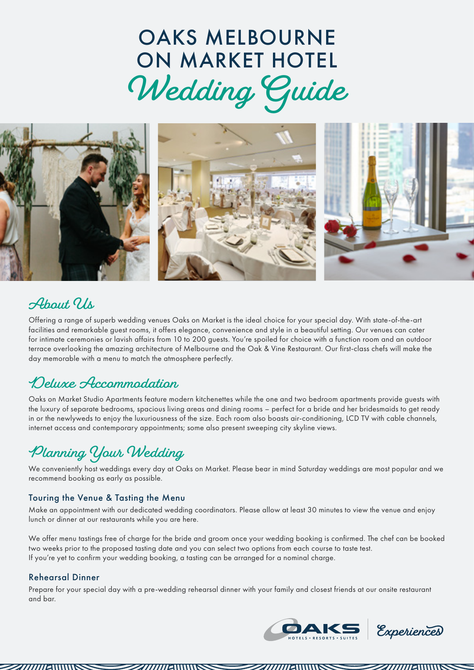## OAKS MELBOURNE ON MARKET HOTEL **Wedding Guide**



### About, Us

Offering a range of superb wedding venues Oaks on Market is the ideal choice for your special day. With state-of-the-art facilities and remarkable guest rooms, it offers elegance, convenience and style in a beautiful setting. Our venues can cater for intimate ceremonies or lavish affairs from 10 to 200 guests. You're spoiled for choice with a function room and an outdoor terrace overlooking the amazing architecture of Melbourne and the Oak & Vine Restaurant. Our first-class chefs will make the day memorable with a menu to match the atmosphere perfectly.

### **Deluxe Accommodation**

Oaks on Market Studio Apartments feature modern kitchenettes while the one and two bedroom apartments provide guests with the luxury of separate bedrooms, spacious living areas and dining rooms – perfect for a bride and her bridesmaids to get ready in or the newlyweds to enjoy the luxuriousness of the size. Each room also boasts air-conditioning, LCD TV with cable channels, internet access and contemporary appointments; some also present sweeping city skyline views.

## **Planning Your Wedding**

We conveniently host weddings every day at Oaks on Market. Please bear in mind Saturday weddings are most popular and we recommend booking as early as possible.

### Touring the Venue & Tasting the Menu

Make an appointment with our dedicated wedding coordinators. Please allow at least 30 minutes to view the venue and enjoy lunch or dinner at our restaurants while you are here.

We offer menu tastings free of charge for the bride and groom once your wedding booking is confirmed. The chef can be booked two weeks prior to the proposed tasting date and you can select two options from each course to taste test. If you're yet to confirm your wedding booking, a tasting can be arranged for a nominal charge.

### Rehearsal Dinner

Prepare for your special day with a pre-wedding rehearsal dinner with your family and closest friends at our onsite restaurant and bar.